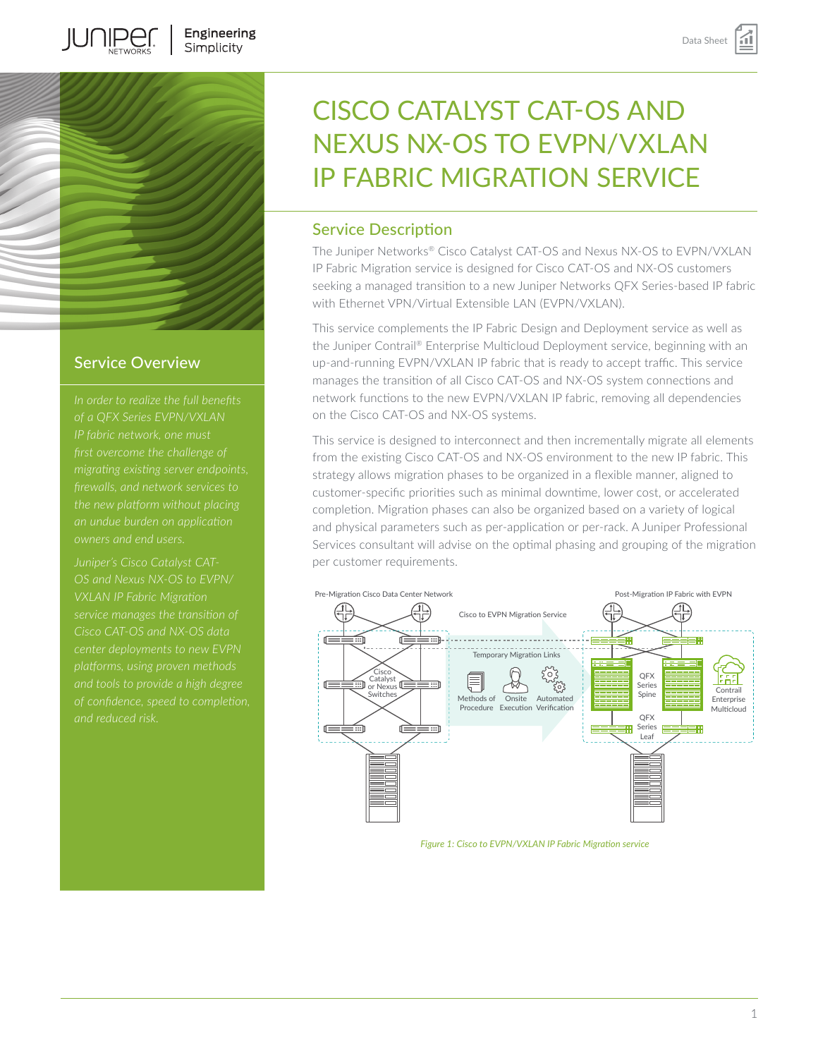

**IUNIPE**C

## Service Overview

*migrating existing server endpoints,* 

*Juniper's Cisco Catalyst CAT-VXLAN IP Fabric Migration Cisco CAT-OS and NX-OS data platforms, using proven methods* 

# CISCO CATALYST CAT-OS AND NEXUS NX-OS TO EVPN/VXLAN IP FABRIC MIGRATION SERVICE

# Service Description

The Juniper Networks® Cisco Catalyst CAT-OS and Nexus NX-OS to EVPN/VXLAN IP Fabric Migration service is designed for Cisco CAT-OS and NX-OS customers seeking a managed transition to a new Juniper Networks QFX Series-based IP fabric with Ethernet VPN/Virtual Extensible LAN (EVPN/VXLAN).

This service complements the IP Fabric Design and Deployment service as well as the Juniper Contrail® Enterprise Multicloud Deployment service, beginning with an up-and-running EVPN/VXLAN IP fabric that is ready to accept traffic. This service manages the transition of all Cisco CAT-OS and NX-OS system connections and network functions to the new EVPN/VXLAN IP fabric, removing all dependencies on the Cisco CAT-OS and NX-OS systems.

This service is designed to interconnect and then incrementally migrate all elements from the existing Cisco CAT-OS and NX-OS environment to the new IP fabric. This strategy allows migration phases to be organized in a flexible manner, aligned to customer-specific priorities such as minimal downtime, lower cost, or accelerated completion. Migration phases can also be organized based on a variety of logical and physical parameters such as per-application or per-rack. A Juniper Professional Services consultant will advise on the optimal phasing and grouping of the migration per customer requirements.



*Figure 1: Cisco to EVPN/VXLAN IP Fabric Migration service*